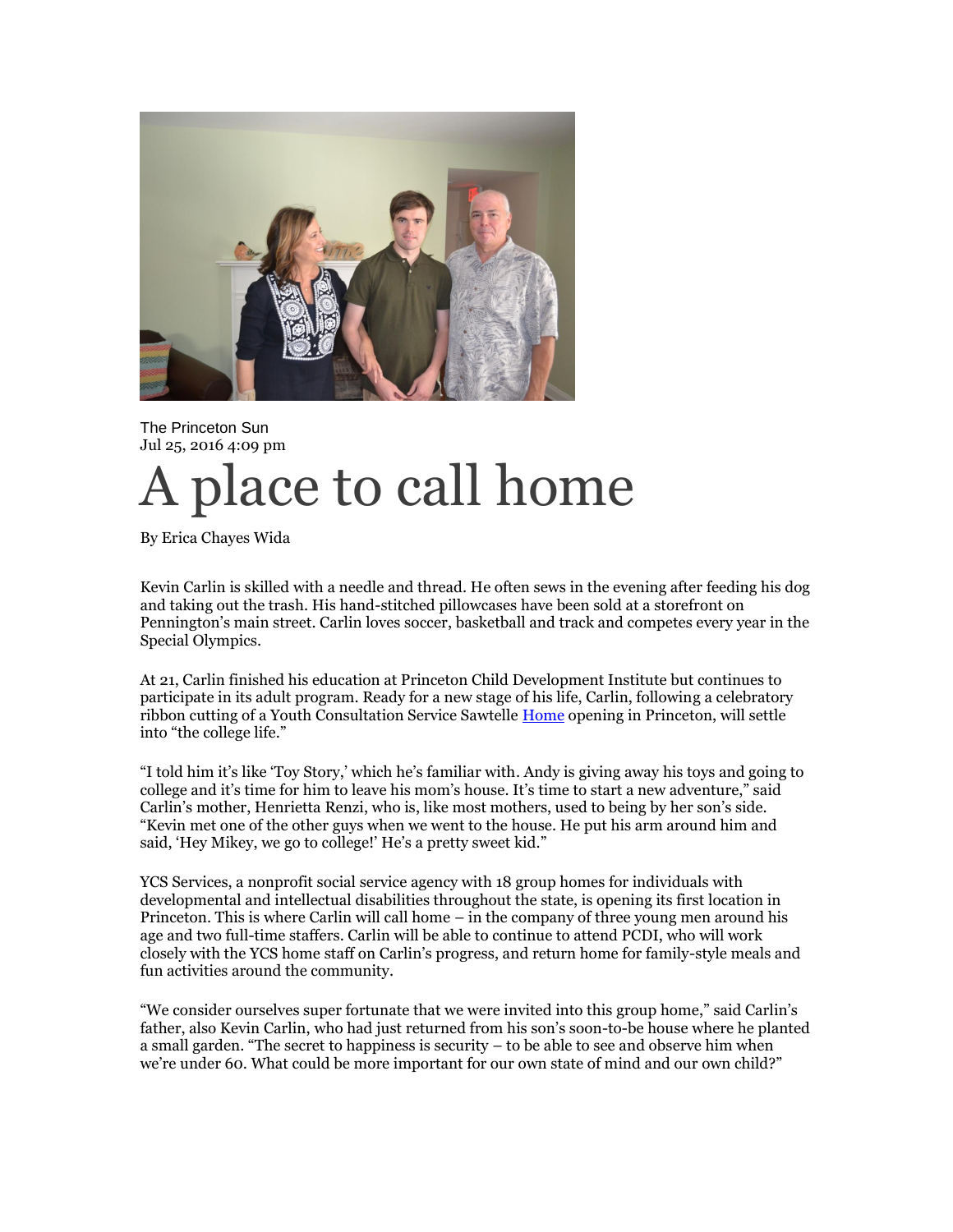

The Princeton Sun Jul 25, 2016 4:09 pm

## A place to call home

By Erica Chayes Wida

Kevin Carlin is skilled with a needle and thread. He often sews in the evening after feeding his dog and taking out the trash. His hand-stitched pillowcases have been sold at a storefront on Pennington's main street. Carlin loves soccer, basketball and track and competes every year in the Special Olympics.

At 21, Carlin finished his education at Princeton Child Development Institute but continues to participate in its adult program. Ready for a new stage of his life, Carlin, following a celebratory ribbon cutting of a Youth Consultation Service Sawtelle [Home](http://theprincetonsun.com/home-2/) opening in Princeton, will settle into "the college life."

"I told him it's like 'Toy Story,' which he's familiar with. Andy is giving away his toys and going to college and it's time for him to leave his mom's house. It's time to start a new adventure," said Carlin's mother, Henrietta Renzi, who is, like most mothers, used to being by her son's side. "Kevin met one of the other guys when we went to the house. He put his arm around him and said, 'Hey Mikey, we go to college!' He's a pretty sweet kid."

YCS Services, a nonprofit social service agency with 18 group homes for individuals with developmental and intellectual disabilities throughout the state, is opening its first location in Princeton. This is where Carlin will call home – in the company of three young men around his age and two full-time staffers. Carlin will be able to continue to attend PCDI, who will work closely with the YCS home staff on Carlin's progress, and return home for family-style meals and fun activities around the community.

"We consider ourselves super fortunate that we were invited into this group home," said Carlin's father, also Kevin Carlin, who had just returned from his son's soon-to-be house where he planted a small garden. "The secret to happiness is security – to be able to see and observe him when we're under 60. What could be more important for our own state of mind and our own child?"